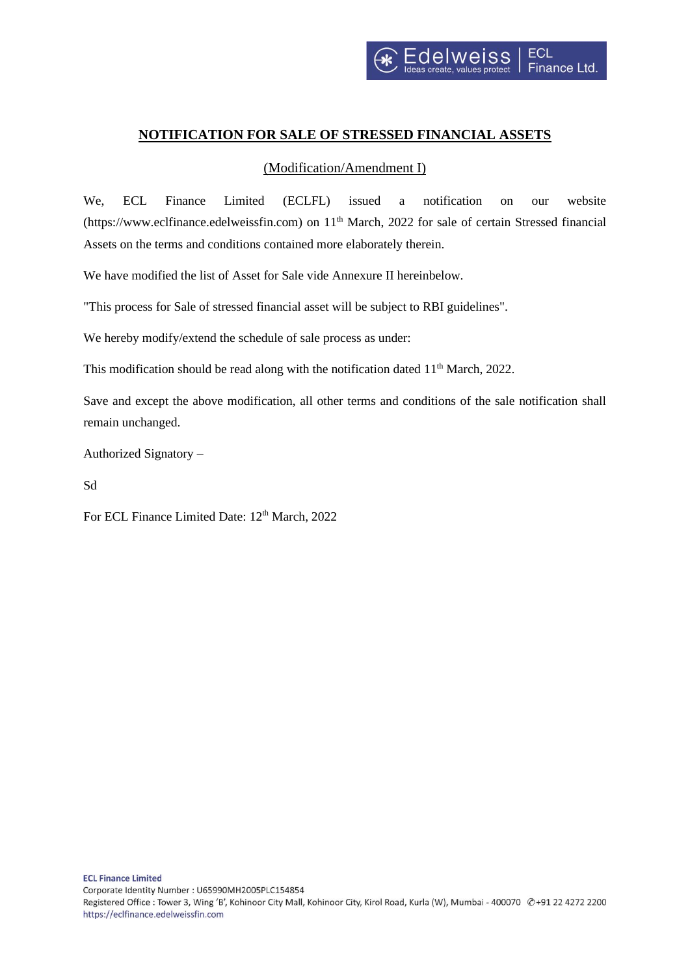## **NOTIFICATION FOR SALE OF STRESSED FINANCIAL ASSETS**

## (Modification/Amendment I)

We, ECL Finance Limited (ECLFL) issued a notification on our website (https://www.eclfinance.edelweissfin.com) on 11<sup>th</sup> March, 2022 for sale of certain Stressed financial Assets on the terms and conditions contained more elaborately therein.

We have modified the list of Asset for Sale vide Annexure II hereinbelow.

"This process for Sale of stressed financial asset will be subject to RBI guidelines".

We hereby modify/extend the schedule of sale process as under:

This modification should be read along with the notification dated 11<sup>th</sup> March, 2022.

Save and except the above modification, all other terms and conditions of the sale notification shall remain unchanged.

Authorized Signatory –

Sd

For ECL Finance Limited Date: 12<sup>th</sup> March, 2022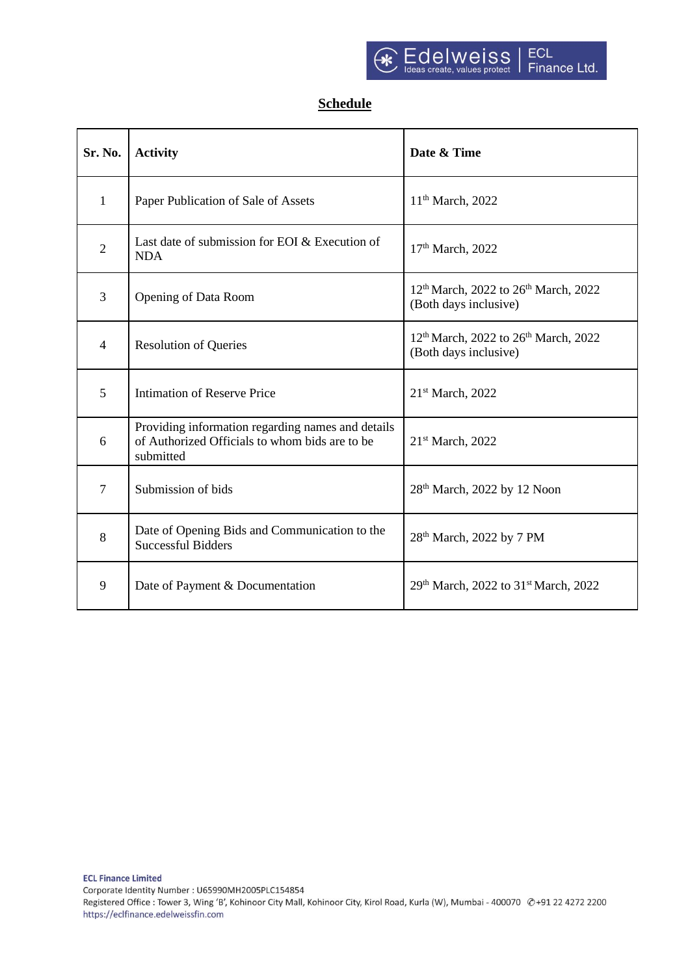## **Schedule**

| Sr. No.        | <b>Activity</b>                                                                                                  | Date & Time                                                                           |  |
|----------------|------------------------------------------------------------------------------------------------------------------|---------------------------------------------------------------------------------------|--|
| 1              | Paper Publication of Sale of Assets                                                                              | 11 <sup>th</sup> March, 2022                                                          |  |
| $\overline{2}$ | Last date of submission for EOI & Execution of<br><b>NDA</b>                                                     | 17th March, 2022                                                                      |  |
| 3              | <b>Opening of Data Room</b>                                                                                      | 12 <sup>th</sup> March, 2022 to 26 <sup>th</sup> March, 2022<br>(Both days inclusive) |  |
| $\overline{4}$ | <b>Resolution of Queries</b>                                                                                     | 12 <sup>th</sup> March, 2022 to 26 <sup>th</sup> March, 2022<br>(Both days inclusive) |  |
| 5              | <b>Intimation of Reserve Price</b>                                                                               | 21 <sup>st</sup> March, 2022                                                          |  |
| 6              | Providing information regarding names and details<br>of Authorized Officials to whom bids are to be<br>submitted | 21 <sup>st</sup> March, 2022                                                          |  |
| $\overline{7}$ | Submission of bids                                                                                               | 28 <sup>th</sup> March, 2022 by 12 Noon                                               |  |
| 8              | Date of Opening Bids and Communication to the<br><b>Successful Bidders</b>                                       | 28 <sup>th</sup> March, 2022 by 7 PM                                                  |  |
| 9              | Date of Payment & Documentation                                                                                  | 29th March, 2022 to 31st March, 2022                                                  |  |